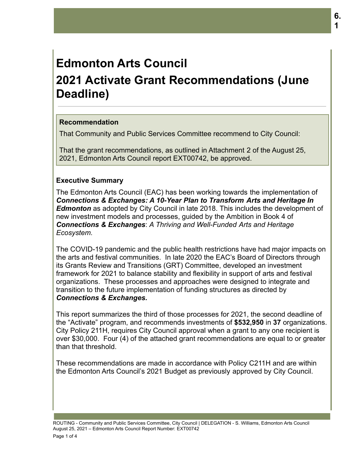# **Edmonton Arts Council 2021 Activate Grant Recommendations (June Deadline)**

### **Recommendation**

That Community and Public Services Committee recommend to City Council:

That the grant recommendations, as outlined in Attachment 2 of the August 25, 2021, Edmonton Arts Council report EXT00742, be approved.

### **Executive Summary**

The Edmonton Arts Council (EAC) has been working towards the implementation of *Connections & Exchanges: A 10-Year Plan to Transform Arts and Heritage In Edmonton* as adopted by City Council in late 2018. This includes the development of new investment models and processes, guided by the Ambition in Book 4 of *Connections & Exchanges*: *A Thriving and Well-Funded Arts and Heritage Ecosystem.*

The COVID-19 pandemic and the public health restrictions have had major impacts on the arts and festival communities. In late 2020 the EAC's Board of Directors through its Grants Review and Transitions (GRT) Committee, developed an investment framework for 2021 to balance stability and flexibility in support of arts and festival organizations. These processes and approaches were designed to integrate and transition to the future implementation of funding structures as directed by *Connections & Exchanges.*

This report summarizes the third of those processes for 2021, the second deadline of the "Activate" program, and recommends investments of **\$532,950** in **37** organizations. City Policy 211H, requires City Council approval when a grant to any one recipient is over \$30,000. Four (4) of the attached grant recommendations are equal to or greater than that threshold.

These recommendations are made in accordance with Policy C211H and are within the Edmonton Arts Council's 2021 Budget as previously approved by City Council.

ROUTING - Community and Public Services Committee, City Council | DELEGATION - S. Williams, Edmonton Arts Council August 25, 2021 – Edmonton Arts Council Report Number: EXT00742 Page 1 of 4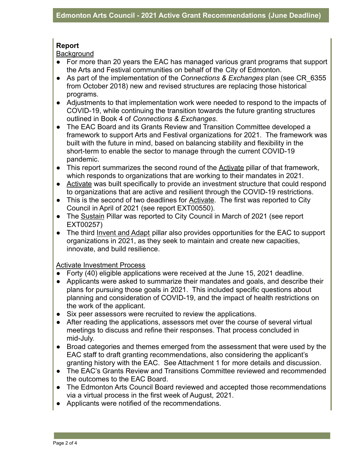## **Report**

**Background** 

- For more than 20 years the EAC has managed various grant programs that support the Arts and Festival communities on behalf of the City of Edmonton.
- As part of the implementation of the *Connections & Exchanges* plan (see CR\_6355 from October 2018) new and revised structures are replacing those historical programs.
- Adjustments to that implementation work were needed to respond to the impacts of COVID-19, while continuing the transition towards the future granting structures outlined in Book 4 of *Connections & Exchanges*.
- The EAC Board and its Grants Review and Transition Committee developed a framework to support Arts and Festival organizations for 2021. The framework was built with the future in mind, based on balancing stability and flexibility in the short-term to enable the sector to manage through the current COVID-19 pandemic.
- This report summarizes the second round of the Activate pillar of that framework, which responds to organizations that are working to their mandates in 2021.
- Activate was built specifically to provide an investment structure that could respond to organizations that are active and resilient through the COVID-19 restrictions.
- This is the second of two deadlines for Activate. The first was reported to City Council in April of 2021 (see report EXT00550).
- The Sustain Pillar was reported to City Council in March of 2021 (see report EXT00257)
- The third Invent and Adapt pillar also provides opportunities for the EAC to support organizations in 2021, as they seek to maintain and create new capacities, innovate, and build resilience.

Activate Investment Process

- Forty (40) eligible applications were received at the June 15, 2021 deadline.
- Applicants were asked to summarize their mandates and goals, and describe their plans for pursuing those goals in 2021. This included specific questions about planning and consideration of COVID-19, and the impact of health restrictions on the work of the applicant.
- Six peer assessors were recruited to review the applications.
- After reading the applications, assessors met over the course of several virtual meetings to discuss and refine their responses. That process concluded in mid-July.
- Broad categories and themes emerged from the assessment that were used by the EAC staff to draft granting recommendations, also considering the applicant's granting history with the EAC. See Attachment 1 for more details and discussion.
- The EAC's Grants Review and Transitions Committee reviewed and recommended the outcomes to the EAC Board.
- The Edmonton Arts Council Board reviewed and accepted those recommendations via a virtual process in the first week of August, 2021.
- Applicants were notified of the recommendations.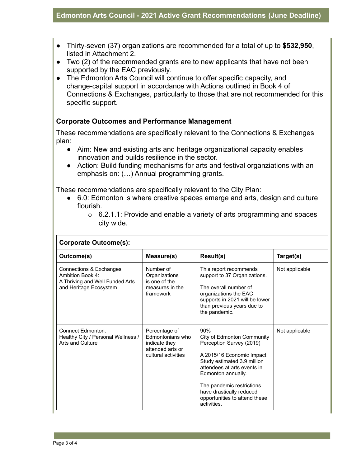- Thirty-seven (37) organizations are recommended for a total of up to **\$532,950**, listed in Attachment 2.
- Two (2) of the recommended grants are to new applicants that have not been supported by the EAC previously.
- The Edmonton Arts Council will continue to offer specific capacity, and change-capital support in accordance with Actions outlined in Book 4 of Connections & Exchanges, particularly to those that are not recommended for this specific support.

#### **Corporate Outcomes and Performance Management**

These recommendations are specifically relevant to the Connections & Exchanges plan:

- Aim: New and existing arts and heritage organizational capacity enables innovation and builds resilience in the sector.
- Action: Build funding mechanisms for arts and festival organziations with an emphasis on: (…) Annual programming grants.

These recommendations are specifically relevant to the City Plan:

- 6.0: Edmonton is where creative spaces emerge and arts, design and culture flourish.
	- $\circ$  6.2.1.1: Provide and enable a variety of arts programming and spaces city wide.

| <b>Corporate Outcome(s):</b>                                                                             |                                                                                               |                                                                                                                                                                                                                                                                                         |                |
|----------------------------------------------------------------------------------------------------------|-----------------------------------------------------------------------------------------------|-----------------------------------------------------------------------------------------------------------------------------------------------------------------------------------------------------------------------------------------------------------------------------------------|----------------|
| Outcome(s)                                                                                               | Measure(s)                                                                                    | Result(s)                                                                                                                                                                                                                                                                               | Target(s)      |
| Connections & Exchanges<br>Ambition Book 4:<br>A Thriving and Well Funded Arts<br>and Heritage Ecosystem | Number of<br>Organizations<br>is one of the<br>measures in the<br>framework                   | This report recommends<br>support to 37 Organizations.<br>The overall number of<br>organizations the EAC<br>supports in 2021 will be lower<br>than previous years due to<br>the pandemic.                                                                                               | Not applicable |
| <b>Connect Edmonton:</b><br>Healthy City / Personal Wellness /<br>Arts and Culture                       | Percentage of<br>Edmontonians who<br>indicate they<br>attended arts or<br>cultural activities | 90%<br>City of Edmonton Community<br>Perception Survey (2019)<br>A 2015/16 Economic Impact<br>Study estimated 3.9 million<br>attendees at arts events in<br>Edmonton annually.<br>The pandemic restrictions<br>have drastically reduced<br>opportunities to attend these<br>activities. | Not applicable |